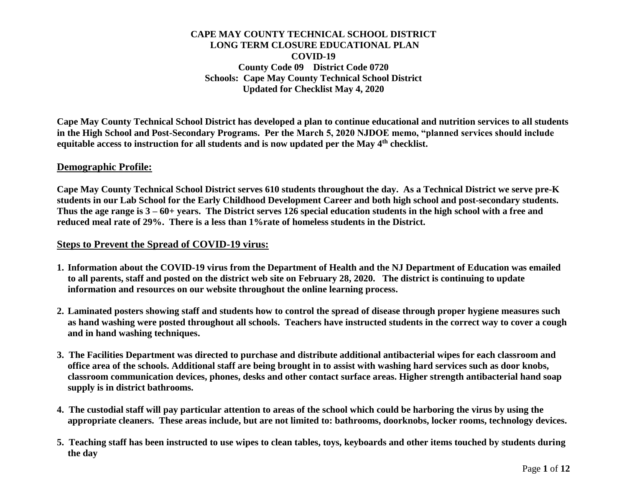**Cape May County Technical School District has developed a plan to continue educational and nutrition services to all students in the High School and Post-Secondary Programs. Per the March 5, 2020 NJDOE memo, "planned services should include equitable access to instruction for all students and is now updated per the May 4th checklist.** 

#### **Demographic Profile:**

**Cape May County Technical School District serves 610 students throughout the day. As a Technical District we serve pre-K students in our Lab School for the Early Childhood Development Career and both high school and post-secondary students. Thus the age range is 3 – 60+ years. The District serves 126 special education students in the high school with a free and reduced meal rate of 29%. There is a less than 1%rate of homeless students in the District.** 

### **Steps to Prevent the Spread of COVID-19 virus:**

- **1. Information about the COVID-19 virus from the Department of Health and the NJ Department of Education was emailed to all parents, staff and posted on the district web site on February 28, 2020. The district is continuing to update information and resources on our website throughout the online learning process.**
- **2. Laminated posters showing staff and students how to control the spread of disease through proper hygiene measures such as hand washing were posted throughout all schools. Teachers have instructed students in the correct way to cover a cough and in hand washing techniques.**
- **3. The Facilities Department was directed to purchase and distribute additional antibacterial wipes for each classroom and office area of the schools. Additional staff are being brought in to assist with washing hard services such as door knobs, classroom communication devices, phones, desks and other contact surface areas. Higher strength antibacterial hand soap supply is in district bathrooms.**
- **4. The custodial staff will pay particular attention to areas of the school which could be harboring the virus by using the appropriate cleaners. These areas include, but are not limited to: bathrooms, doorknobs, locker rooms, technology devices.**
- **5. Teaching staff has been instructed to use wipes to clean tables, toys, keyboards and other items touched by students during the day**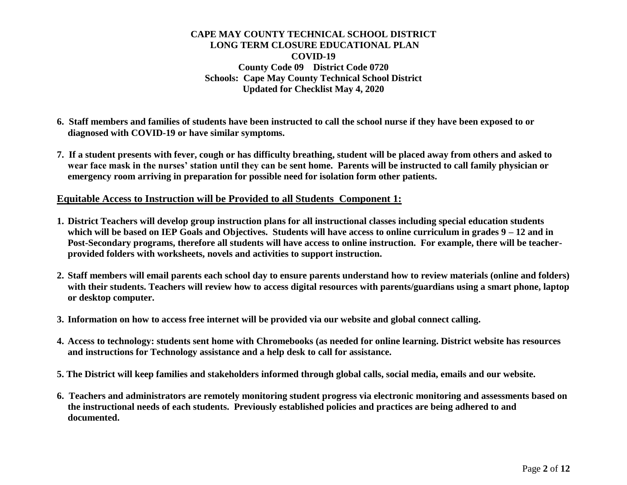- **6. Staff members and families of students have been instructed to call the school nurse if they have been exposed to or diagnosed with COVID-19 or have similar symptoms.**
- **7. If a student presents with fever, cough or has difficulty breathing, student will be placed away from others and asked to wear face mask in the nurses' station until they can be sent home. Parents will be instructed to call family physician or emergency room arriving in preparation for possible need for isolation form other patients.**

### **Equitable Access to Instruction will be Provided to all Students Component 1:**

- **1. District Teachers will develop group instruction plans for all instructional classes including special education students which will be based on IEP Goals and Objectives. Students will have access to online curriculum in grades 9 – 12 and in Post-Secondary programs, therefore all students will have access to online instruction. For example, there will be teacherprovided folders with worksheets, novels and activities to support instruction.**
- **2. Staff members will email parents each school day to ensure parents understand how to review materials (online and folders) with their students. Teachers will review how to access digital resources with parents/guardians using a smart phone, laptop or desktop computer.**
- **3. Information on how to access free internet will be provided via our website and global connect calling.**
- **4. Access to technology: students sent home with Chromebooks (as needed for online learning. District website has resources and instructions for Technology assistance and a help desk to call for assistance.**
- **5. The District will keep families and stakeholders informed through global calls, social media, emails and our website.**
- **6. Teachers and administrators are remotely monitoring student progress via electronic monitoring and assessments based on the instructional needs of each students. Previously established policies and practices are being adhered to and documented.**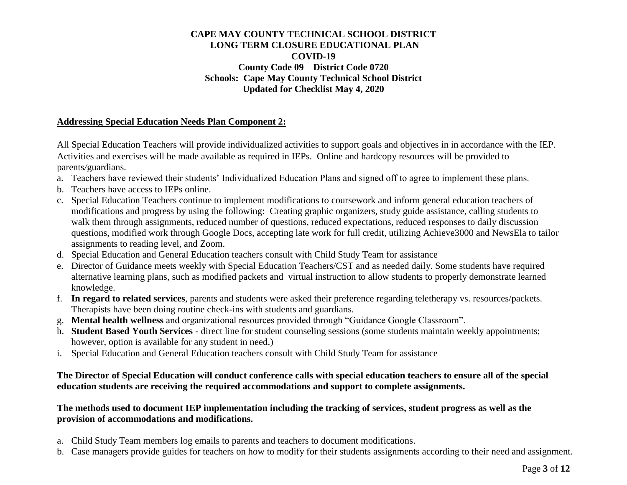## **Addressing Special Education Needs Plan Component 2:**

All Special Education Teachers will provide individualized activities to support goals and objectives in in accordance with the IEP. Activities and exercises will be made available as required in IEPs. Online and hardcopy resources will be provided to parents*/*guardians.

- a. Teachers have reviewed their students' Individualized Education Plans and signed off to agree to implement these plans.
- b. Teachers have access to IEPs online.
- c. Special Education Teachers continue to implement modifications to coursework and inform general education teachers of modifications and progress by using the following: Creating graphic organizers, study guide assistance, calling students to walk them through assignments, reduced number of questions, reduced expectations, reduced responses to daily discussion questions, modified work through Google Docs, accepting late work for full credit, utilizing Achieve3000 and NewsEla to tailor assignments to reading level, and Zoom.
- d. Special Education and General Education teachers consult with Child Study Team for assistance
- e. Director of Guidance meets weekly with Special Education Teachers/CST and as needed daily. Some students have required alternative learning plans, such as modified packets and virtual instruction to allow students to properly demonstrate learned knowledge.
- f. **In regard to related services**, parents and students were asked their preference regarding teletherapy vs. resources/packets. Therapists have been doing routine check-ins with students and guardians.
- g. **Mental health wellness** and organizational resources provided through "Guidance Google Classroom".
- h. **Student Based Youth Services** direct line for student counseling sessions (some students maintain weekly appointments; however, option is available for any student in need.)
- i. Special Education and General Education teachers consult with Child Study Team for assistance

## **The Director of Special Education will conduct conference calls with special education teachers to ensure all of the special education students are receiving the required accommodations and support to complete assignments.**

### **The methods used to document IEP implementation including the tracking of services, student progress as well as the provision of accommodations and modifications.**

- a. Child Study Team members log emails to parents and teachers to document modifications.
- b. Case managers provide guides for teachers on how to modify for their students assignments according to their need and assignment.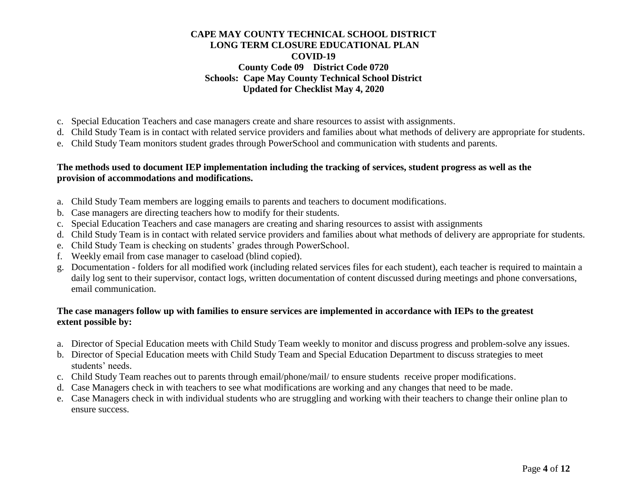- c. Special Education Teachers and case managers create and share resources to assist with assignments.
- d. Child Study Team is in contact with related service providers and families about what methods of delivery are appropriate for students.
- e. Child Study Team monitors student grades through PowerSchool and communication with students and parents.

## **The methods used to document IEP implementation including the tracking of services, student progress as well as the provision of accommodations and modifications.**

- a. Child Study Team members are logging emails to parents and teachers to document modifications.
- b. Case managers are directing teachers how to modify for their students.
- c. Special Education Teachers and case managers are creating and sharing resources to assist with assignments
- d. Child Study Team is in contact with related service providers and families about what methods of delivery are appropriate for students.
- e. Child Study Team is checking on students' grades through PowerSchool.
- f. Weekly email from case manager to caseload (blind copied).
- g. Documentation folders for all modified work (including related services files for each student), each teacher is required to maintain a daily log sent to their supervisor, contact logs, written documentation of content discussed during meetings and phone conversations, email communication.

## **The case managers follow up with families to ensure services are implemented in accordance with IEPs to the greatest extent possible by:**

- a. Director of Special Education meets with Child Study Team weekly to monitor and discuss progress and problem-solve any issues.
- b. Director of Special Education meets with Child Study Team and Special Education Department to discuss strategies to meet students' needs.
- c. Child Study Team reaches out to parents through email/phone/mail/ to ensure students receive proper modifications.
- d. Case Managers check in with teachers to see what modifications are working and any changes that need to be made.
- e. Case Managers check in with individual students who are struggling and working with their teachers to change their online plan to ensure success.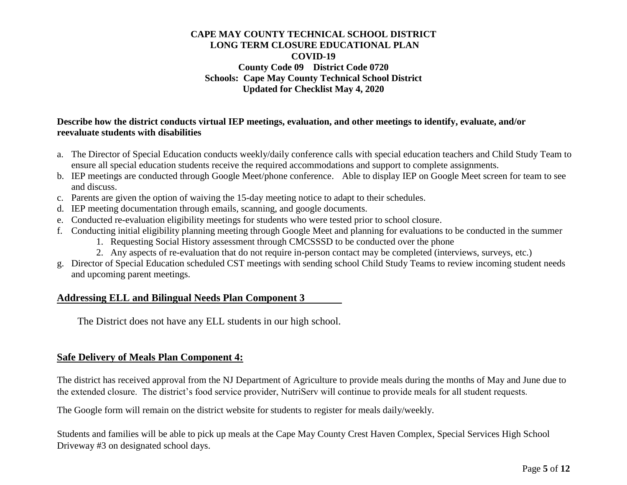### **Describe how the district conducts virtual IEP meetings, evaluation, and other meetings to identify, evaluate, and/or reevaluate students with disabilities**

- a. The Director of Special Education conducts weekly/daily conference calls with special education teachers and Child Study Team to ensure all special education students receive the required accommodations and support to complete assignments.
- b. IEP meetings are conducted through Google Meet/phone conference. Able to display IEP on Google Meet screen for team to see and discuss.
- c. Parents are given the option of waiving the 15-day meeting notice to adapt to their schedules.
- d. IEP meeting documentation through emails, scanning, and google documents.
- e. Conducted re-evaluation eligibility meetings for students who were tested prior to school closure.
- f. Conducting initial eligibility planning meeting through Google Meet and planning for evaluations to be conducted in the summer
	- 1. Requesting Social History assessment through CMCSSSD to be conducted over the phone
	- 2. Any aspects of re-evaluation that do not require in-person contact may be completed (interviews, surveys, etc.)
- g. Director of Special Education scheduled CST meetings with sending school Child Study Teams to review incoming student needs and upcoming parent meetings.

# **Addressing ELL and Bilingual Needs Plan Component 3**

The District does not have any ELL students in our high school.

# **Safe Delivery of Meals Plan Component 4:**

The district has received approval from the NJ Department of Agriculture to provide meals during the months of May and June due to the extended closure. The district's food service provider, NutriServ will continue to provide meals for all student requests.

The Google form will remain on the district website for students to register for meals daily/weekly.

Students and families will be able to pick up meals at the Cape May County Crest Haven Complex, Special Services High School Driveway #3 on designated school days.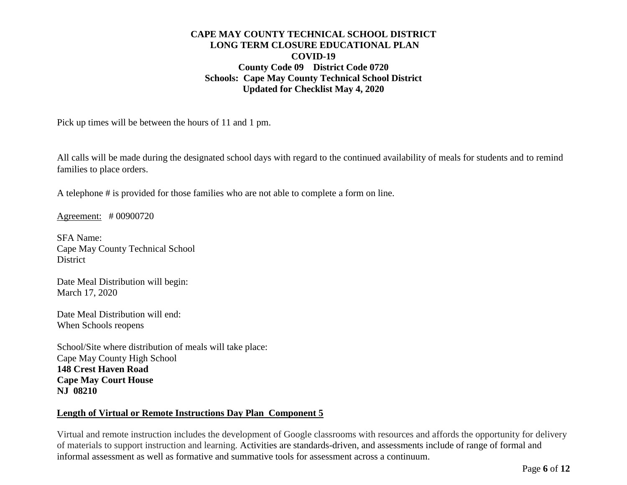Pick up times will be between the hours of 11 and 1 pm.

All calls will be made during the designated school days with regard to the continued availability of meals for students and to remind families to place orders.

A telephone # is provided for those families who are not able to complete a form on line.

Agreement: # 00900720

SFA Name: Cape May County Technical School District

Date Meal Distribution will begin: March 17, 2020

Date Meal Distribution will end: When Schools reopens

School/Site where distribution of meals will take place: Cape May County High School **148 Crest Haven Road Cape May Court House NJ 08210**

# **Length of Virtual or Remote Instructions Day Plan Component 5**

Virtual and remote instruction includes the development of Google classrooms with resources and affords the opportunity for delivery of materials to support instruction and learning. Activities are standards-driven, and assessments include of range of formal and informal assessment as well as formative and summative tools for assessment across a continuum.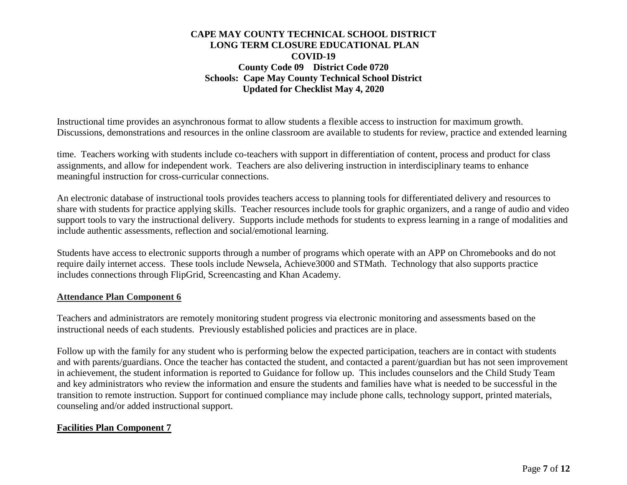Instructional time provides an asynchronous format to allow students a flexible access to instruction for maximum growth. Discussions, demonstrations and resources in the online classroom are available to students for review, practice and extended learning

time. Teachers working with students include co-teachers with support in differentiation of content, process and product for class assignments, and allow for independent work. Teachers are also delivering instruction in interdisciplinary teams to enhance meaningful instruction for cross-curricular connections.

An electronic database of instructional tools provides teachers access to planning tools for differentiated delivery and resources to share with students for practice applying skills. Teacher resources include tools for graphic organizers, and a range of audio and video support tools to vary the instructional delivery. Supports include methods for students to express learning in a range of modalities and include authentic assessments, reflection and social/emotional learning.

Students have access to electronic supports through a number of programs which operate with an APP on Chromebooks and do not require daily internet access. These tools include Newsela, Achieve3000 and STMath. Technology that also supports practice includes connections through FlipGrid, Screencasting and Khan Academy.

#### **Attendance Plan Component 6**

Teachers and administrators are remotely monitoring student progress via electronic monitoring and assessments based on the instructional needs of each students. Previously established policies and practices are in place.

Follow up with the family for any student who is performing below the expected participation, teachers are in contact with students and with parents/guardians. Once the teacher has contacted the student, and contacted a parent/guardian but has not seen improvement in achievement, the student information is reported to Guidance for follow up. This includes counselors and the Child Study Team and key administrators who review the information and ensure the students and families have what is needed to be successful in the transition to remote instruction. Support for continued compliance may include phone calls, technology support, printed materials, counseling and/or added instructional support.

#### **Facilities Plan Component 7**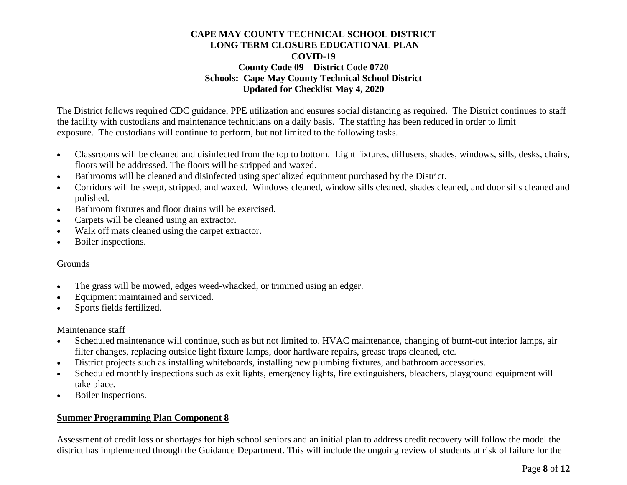The District follows required CDC guidance, PPE utilization and ensures social distancing as required. The District continues to staff the facility with custodians and maintenance technicians on a daily basis. The staffing has been reduced in order to limit exposure. The custodians will continue to perform, but not limited to the following tasks.

- Classrooms will be cleaned and disinfected from the top to bottom. Light fixtures, diffusers, shades, windows, sills, desks, chairs, floors will be addressed. The floors will be stripped and waxed.
- Bathrooms will be cleaned and disinfected using specialized equipment purchased by the District.
- Corridors will be swept, stripped, and waxed. Windows cleaned, window sills cleaned, shades cleaned, and door sills cleaned and polished.
- Bathroom fixtures and floor drains will be exercised.
- Carpets will be cleaned using an extractor.
- Walk off mats cleaned using the carpet extractor.
- Boiler inspections.

# Grounds

- The grass will be mowed, edges weed-whacked, or trimmed using an edger.
- Equipment maintained and serviced.
- Sports fields fertilized.

Maintenance staff

- Scheduled maintenance will continue, such as but not limited to, HVAC maintenance, changing of burnt-out interior lamps, air filter changes, replacing outside light fixture lamps, door hardware repairs, grease traps cleaned, etc.
- District projects such as installing whiteboards, installing new plumbing fixtures, and bathroom accessories.
- Scheduled monthly inspections such as exit lights, emergency lights, fire extinguishers, bleachers, playground equipment will take place.
- Boiler Inspections.

# **Summer Programming Plan Component 8**

Assessment of credit loss or shortages for high school seniors and an initial plan to address credit recovery will follow the model the district has implemented through the Guidance Department. This will include the ongoing review of students at risk of failure for the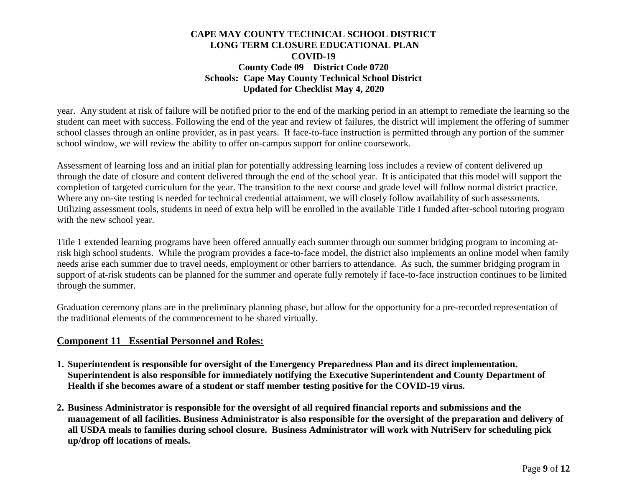year. Any student at risk of failure will be notified prior to the end of the marking period in an attempt to remediate the learning so the student can meet with success. Following the end of the year and review of failures, the district will implement the offering of summer school classes through an online provider, as in past years. If face-to-face instruction is permitted through any portion of the summer school window, we will review the ability to offer on-campus support for online coursework.

Assessment of learning loss and an initial plan for potentially addressing learning loss includes a review of content delivered up through the date of closure and content delivered through the end of the school year. It is anticipated that this model will support the completion of targeted curriculum for the year. The transition to the next course and grade level will follow normal district practice. Where any on-site testing is needed for technical credential attainment, we will closely follow availability of such assessments. Utilizing assessment tools, students in need of extra help will be enrolled in the available Title I funded after-school tutoring program with the new school year.

Title 1 extended learning programs have been offered annually each summer through our summer bridging program to incoming atrisk high school students. While the program provides a face-to-face model, the district also implements an online model when family needs arise each summer due to travel needs, employment or other barriers to attendance. As such, the summer bridging program in support of at-risk students can be planned for the summer and operate fully remotely if face-to-face instruction continues to be limited through the summer.

Graduation ceremony plans are in the preliminary planning phase, but allow for the opportunity for a pre-recorded representation of the traditional elements of the commencement to be shared virtually.

# **Component 11 Essential Personnel and Roles:**

- **1. Superintendent is responsible for oversight of the Emergency Preparedness Plan and its direct implementation. Superintendent is also responsible for immediately notifying the Executive Superintendent and County Department of Health if she becomes aware of a student or staff member testing positive for the COVID-19 virus.**
- **2. Business Administrator is responsible for the oversight of all required financial reports and submissions and the management of all facilities. Business Administrator is also responsible for the oversight of the preparation and delivery of all USDA meals to families during school closure. Business Administrator will work with NutriServ for scheduling pick up/drop off locations of meals.**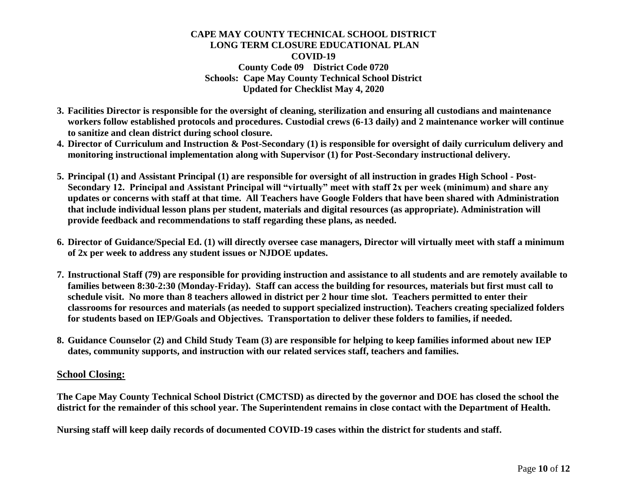- **3. Facilities Director is responsible for the oversight of cleaning, sterilization and ensuring all custodians and maintenance workers follow established protocols and procedures. Custodial crews (6-13 daily) and 2 maintenance worker will continue to sanitize and clean district during school closure.**
- **4. Director of Curriculum and Instruction & Post-Secondary (1) is responsible for oversight of daily curriculum delivery and monitoring instructional implementation along with Supervisor (1) for Post-Secondary instructional delivery.**
- **5. Principal (1) and Assistant Principal (1) are responsible for oversight of all instruction in grades High School - Post-Secondary 12. Principal and Assistant Principal will "virtually" meet with staff 2x per week (minimum) and share any updates or concerns with staff at that time. All Teachers have Google Folders that have been shared with Administration that include individual lesson plans per student, materials and digital resources (as appropriate). Administration will provide feedback and recommendations to staff regarding these plans, as needed.**
- **6. Director of Guidance/Special Ed. (1) will directly oversee case managers, Director will virtually meet with staff a minimum of 2x per week to address any student issues or NJDOE updates.**
- **7. Instructional Staff (79) are responsible for providing instruction and assistance to all students and are remotely available to families between 8:30-2:30 (Monday-Friday). Staff can access the building for resources, materials but first must call to schedule visit. No more than 8 teachers allowed in district per 2 hour time slot. Teachers permitted to enter their classrooms for resources and materials (as needed to support specialized instruction). Teachers creating specialized folders for students based on IEP/Goals and Objectives. Transportation to deliver these folders to families, if needed.**
- **8. Guidance Counselor (2) and Child Study Team (3) are responsible for helping to keep families informed about new IEP dates, community supports, and instruction with our related services staff, teachers and families.**

### **School Closing:**

**The Cape May County Technical School District (CMCTSD) as directed by the governor and DOE has closed the school the district for the remainder of this school year. The Superintendent remains in close contact with the Department of Health.**

**Nursing staff will keep daily records of documented COVID-19 cases within the district for students and staff.**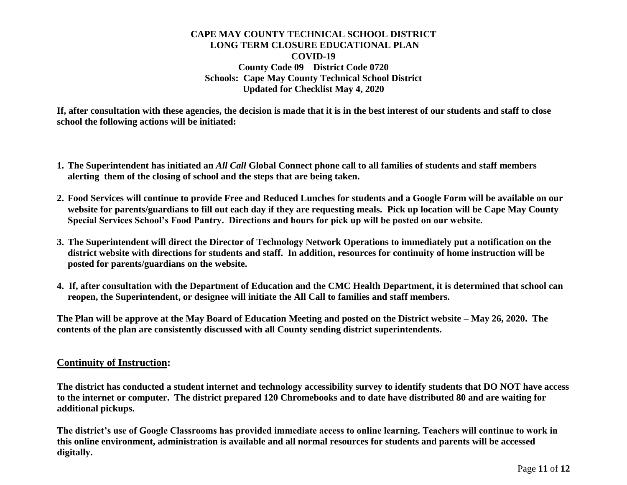**If, after consultation with these agencies, the decision is made that it is in the best interest of our students and staff to close school the following actions will be initiated:**

- **1. The Superintendent has initiated an** *All Call* **Global Connect phone call to all families of students and staff members alerting them of the closing of school and the steps that are being taken.**
- **2. Food Services will continue to provide Free and Reduced Lunches for students and a Google Form will be available on our website for parents/guardians to fill out each day if they are requesting meals. Pick up location will be Cape May County Special Services School's Food Pantry. Directions and hours for pick up will be posted on our website.**
- **3. The Superintendent will direct the Director of Technology Network Operations to immediately put a notification on the district website with directions for students and staff. In addition, resources for continuity of home instruction will be posted for parents/guardians on the website.**
- **4. If, after consultation with the Department of Education and the CMC Health Department, it is determined that school can reopen, the Superintendent, or designee will initiate the All Call to families and staff members.**

**The Plan will be approve at the May Board of Education Meeting and posted on the District website – May 26, 2020. The contents of the plan are consistently discussed with all County sending district superintendents.** 

### **Continuity of Instruction:**

**The district has conducted a student internet and technology accessibility survey to identify students that DO NOT have access to the internet or computer. The district prepared 120 Chromebooks and to date have distributed 80 and are waiting for additional pickups.** 

**The district's use of Google Classrooms has provided immediate access to online learning. Teachers will continue to work in this online environment, administration is available and all normal resources for students and parents will be accessed digitally.**